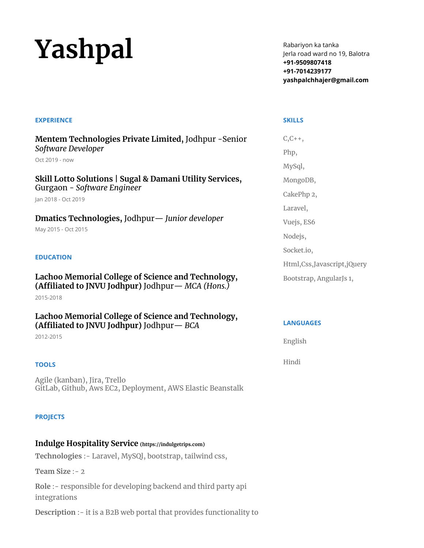# **Yashpal**

Rabariyon ka tanka Jerla road ward no 19, Balotra **+91-9509807418 +91-7014239177 yashpalchhajer@gmail.com**

#### **EXPERIENCE**

**Mentem Technologies Private Limited,** Jodhpur -Senior *Software Developer*

Oct 2019 - now

**Skill Lotto Solutions | Sugal & Damani Utility Services,** Gurgaon - *Software Engineer*

Jan 2018 - Oct 2019

**Dmatics Technologies,** Jodhpur— *Junior developer* May 2015 - Oct 2015

#### **EDUCATION**

**Lachoo Memorial College of Science and Technology, (Affiliated to JNVU Jodhpur)** Jodhpur— *MCA (Hons.)*

2015-2018

**Lachoo Memorial College of Science and Technology, (Affiliated to JNVU Jodhpur)** Jodhpur— *BCA*

2012-2015

#### **TOOLS**

Agile (kanban), Jira, Trello GitLab, Github, Aws EC2, Deployment, AWS Elastic Beanstalk

#### **PROJECTS**

### **Indulge Hospitality Service (https://indulgetrips.com)**

**Technologies** :- Laravel, MySQl, bootstrap, tailwind css,

**Team Size** :- 2

**Role** :- responsible for developing backend and third party api integrations

**Description** :- it is a B2B web portal that provides functionality to

#### **SKILLS**

 $C, C++$ Php, MySql, MongoDB, CakePhp 2, Laravel, Vuejs, ES6 Nodejs, Socket.io, Html,Css,Javascript,jQuery Bootstrap, AngularJs 1,

#### **LANGUAGES**

English

Hindi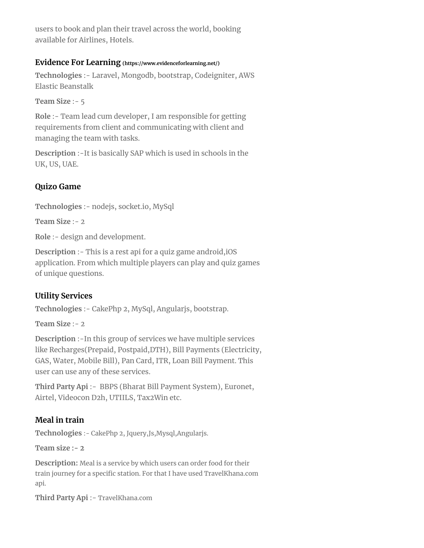users to book and plan their travel across the world, booking available for Airlines, Hotels.

## **Evidence For Learning (https://www.evidenceforlearning.net/)**

**Technologies** :- Laravel, Mongodb, bootstrap, Codeigniter, AWS Elastic Beanstalk

**Team Size** :- 5

**Role** :- Team lead cum developer, I am responsible for getting requirements from client and communicating with client and managing the team with tasks.

**Description** :-It is basically SAP which is used in schools in the UK, US, UAE.

# **Quizo Game**

**Technologies** :- nodejs, socket.io, MySql

**Team Size** :- 2

**Role** :- design and development.

**Description** :- This is a rest api for a quiz game android,iOS application. From which multiple players can play and quiz games of unique questions.

# **Utility Services**

**Technologies** :- CakePhp 2, MySql, Angularjs, bootstrap.

**Team Size** :- 2

**Description** :-In this group of services we have multiple services like Recharges(Prepaid, Postpaid,DTH), Bill Payments (Electricity, GAS, Water, Mobile Bill), Pan Card, ITR, Loan Bill Payment. This user can use any of these services.

**Third Party Api** :- BBPS (Bharat Bill Payment System), Euronet, Airtel, Videocon D2h, UTIILS, Tax2Win etc.

# **Meal in train**

**Technologies** :- CakePhp 2, Jquery,Js,Mysql,Angularjs.

**Team size :- 2**

**Description:** Meal is a service by which users can order food for their train journey for a specific station. For that I have used TravelKhana.com api.

**Third Party Api** :- TravelKhana.com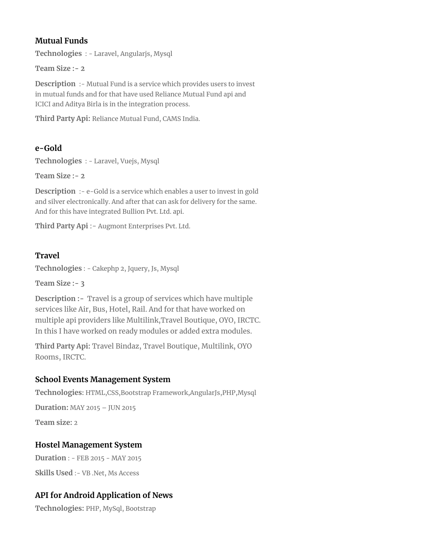# **Mutual Funds**

**Technologies** : - Laravel, Angularjs, Mysql

**Team Size :- 2**

**Description** :- Mutual Fund is a service which provides users to invest in mutual funds and for that have used Reliance Mutual Fund api and ICICI and Aditya Birla is in the integration process.

**Third Party Api:** Reliance Mutual Fund, CAMS India.

# **e-Gold**

**Technologies** : - Laravel, Vuejs, Mysql

**Team Size :- 2**

**Description** :- e-Gold is a service which enables a user to invest in gold and silver electronically. And after that can ask for delivery for the same. And for this have integrated Bullion Pvt. Ltd. api.

**Third Party Api** :- Augmont Enterprises Pvt. Ltd.

# **Travel**

**Technologies** : - Cakephp 2, Jquery, Js, Mysql

**Team Size :- 3**

**Description :-** Travel is a group of services which have multiple services like Air, Bus, Hotel, Rail. And for that have worked on multiple api providers like Multilink,Travel Boutique, OYO, IRCTC. In this I have worked on ready modules or added extra modules.

**Third Party Api:** Travel Bindaz, Travel Boutique, Multilink, OYO Rooms, IRCTC.

# **School Events Management System**

**Technologies:** HTML,CSS,Bootstrap Framework,AngularJs,PHP,Mysql

**Duration:** MAY 2015 – JUN 2015

**Team size:** 2

# **Hostel Management System**

**Duration** : - FEB 2015 - MAY 2015

**Skills Used** :- VB .Net, Ms Access

# **API for Android Application of News**

**Technologies:** PHP, MySql, Bootstrap